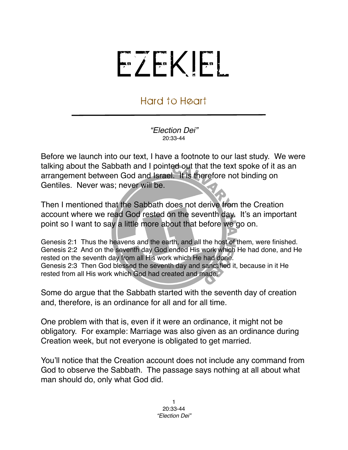## EZEKIEL

## Hard to Heart

*"Election Dei"* 20:33-44

Before we launch into our text, I have a footnote to our last study. We were talking about the Sabbath and I pointed out that the text spoke of it as an arrangement between God and Israel. It is therefore not binding on Gentiles. Never was; never will be.

Then I mentioned that the Sabbath does not derive from the Creation account where we read God rested on the seventh day. It's an important point so I want to say a little more about that before we go on.

Genesis 2:1 Thus the heavens and the earth, and all the host of them, were finished. Genesis 2:2 And on the seventh day God ended His work which He had done, and He rested on the seventh day from all His work which He had done. Genesis 2:3 Then God blessed the seventh day and sanctified it, because in it He rested from all His work which God had created and made.

Some do argue that the Sabbath started with the seventh day of creation and, therefore, is an ordinance for all and for all time.

One problem with that is, even if it were an ordinance, it might not be obligatory. For example: Marriage was also given as an ordinance during Creation week, but not everyone is obligated to get married.

You'll notice that the Creation account does not include any command from God to observe the Sabbath. The passage says nothing at all about what man should do, only what God did.

> 1 20:33-44 *"Election Dei"*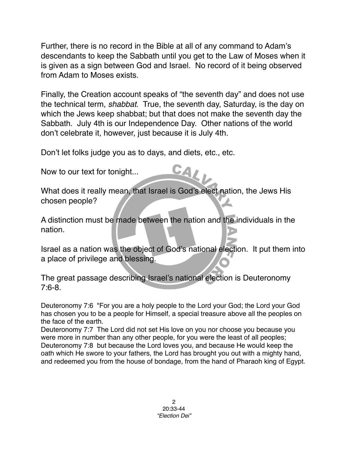Further, there is no record in the Bible at all of any command to Adam's descendants to keep the Sabbath until you get to the Law of Moses when it is given as a sign between God and Israel. No record of it being observed from Adam to Moses exists.

Finally, the Creation account speaks of "the seventh day" and does not use the technical term, *shabbat*. True, the seventh day, Saturday, is the day on which the Jews keep shabbat; but that does not make the seventh day the Sabbath. July 4th is our Independence Day. Other nations of the world don't celebrate it, however, just because it is July 4th.

CAL

Don't let folks judge you as to days, and diets, etc., etc.

Now to our text for tonight...

What does it really mean, that Israel is God's elect nation, the Jews His chosen people?

A distinction must be made between the nation and the individuals in the nation.

Israel as a nation was the object of God's national election. It put them into a place of privilege and blessing.

The great passage describing Israel's national election is Deuteronomy 7:6-8.

Deuteronomy 7:6 "For you are a holy people to the Lord your God; the Lord your God has chosen you to be a people for Himself, a special treasure above all the peoples on the face of the earth.

Deuteronomy 7:7 The Lord did not set His love on you nor choose you because you were more in number than any other people, for you were the least of all peoples; Deuteronomy 7:8 but because the Lord loves you, and because He would keep the oath which He swore to your fathers, the Lord has brought you out with a mighty hand, and redeemed you from the house of bondage, from the hand of Pharaoh king of Egypt.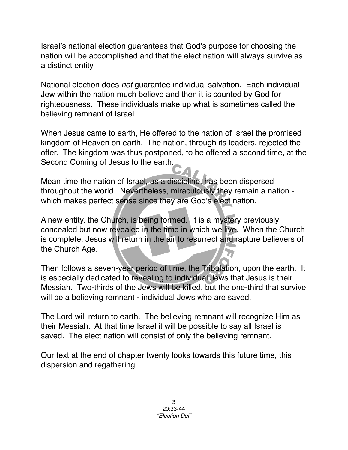Israel's national election guarantees that God's purpose for choosing the nation will be accomplished and that the elect nation will always survive as a distinct entity.

National election does *not* guarantee individual salvation. Each individual Jew within the nation much believe and then it is counted by God for righteousness. These individuals make up what is sometimes called the believing remnant of Israel.

When Jesus came to earth, He offered to the nation of Israel the promised kingdom of Heaven on earth. The nation, through its leaders, rejected the offer. The kingdom was thus postponed, to be offered a second time, at the Second Coming of Jesus to the earth.

Mean time the nation of Israel, as a discipline, has been dispersed throughout the world. Nevertheless, miraculously they remain a nation which makes perfect sense since they are God's elect nation.

A new entity, the Church, is being formed. It is a mystery previously concealed but now revealed in the time in which we live. When the Church is complete, Jesus will return in the air to resurrect and rapture believers of the Church Age.

Then follows a seven-year period of time, the Tribulation, upon the earth. It is especially dedicated to revealing to individual Jews that Jesus is their Messiah. Two-thirds of the Jews will be killed, but the one-third that survive will be a believing remnant - individual Jews who are saved.

The Lord will return to earth. The believing remnant will recognize Him as their Messiah. At that time Israel it will be possible to say all Israel is saved. The elect nation will consist of only the believing remnant.

Our text at the end of chapter twenty looks towards this future time, this dispersion and regathering.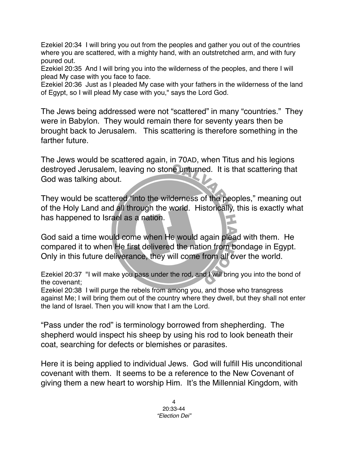Ezekiel 20:34 I will bring you out from the peoples and gather you out of the countries where you are scattered, with a mighty hand, with an outstretched arm, and with fury poured out.

Ezekiel 20:35 And I will bring you into the wilderness of the peoples, and there I will plead My case with you face to face.

Ezekiel 20:36 Just as I pleaded My case with your fathers in the wilderness of the land of Egypt, so I will plead My case with you," says the Lord God.

The Jews being addressed were not "scattered" in many "countries." They were in Babylon. They would remain there for seventy years then be brought back to Jerusalem. This scattering is therefore something in the farther future.

The Jews would be scattered again, in 70AD, when Titus and his legions destroyed Jerusalem, leaving no stone unturned. It is that scattering that God was talking about.

They would be scattered "into the wilderness of the peoples," meaning out of the Holy Land and all through the world. Historically, this is exactly what has happened to Israel as a nation.

God said a time would come when He would again plead with them. He compared it to when He first delivered the nation from bondage in Egypt. Only in this future deliverance, they will come from all over the world.

Ezekiel 20:37 "I will make you pass under the rod, and I will bring you into the bond of the covenant;

Ezekiel 20:38 I will purge the rebels from among you, and those who transgress against Me; I will bring them out of the country where they dwell, but they shall not enter the land of Israel. Then you will know that I am the Lord.

"Pass under the rod" is terminology borrowed from shepherding. The shepherd would inspect his sheep by using his rod to look beneath their coat, searching for defects or blemishes or parasites.

Here it is being applied to individual Jews. God will fulfill His unconditional covenant with them. It seems to be a reference to the New Covenant of giving them a new heart to worship Him. It's the Millennial Kingdom, with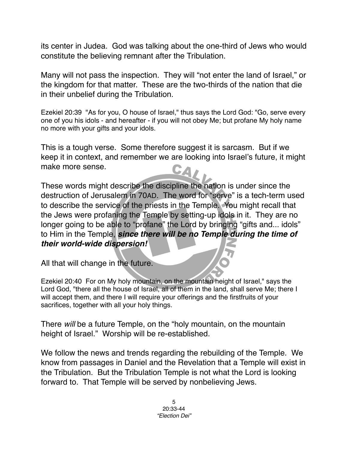its center in Judea. God was talking about the one-third of Jews who would constitute the believing remnant after the Tribulation.

Many will not pass the inspection. They will "not enter the land of Israel," or the kingdom for that matter. These are the two-thirds of the nation that die in their unbelief during the Tribulation.

Ezekiel 20:39 "As for you, O house of Israel," thus says the Lord God: "Go, serve every one of you his idols - and hereafter - if you will not obey Me; but profane My holy name no more with your gifts and your idols.

This is a tough verse. Some therefore suggest it is sarcasm. But if we keep it in context, and remember we are looking into Israel's future, it might make more sense. CA,

These words might describe the discipline the nation is under since the destruction of Jerusalem in 70AD. The word for "serve" is a tech-term used to describe the service of the priests in the Temple. You might recall that the Jews were profaning the Temple by setting-up idols in it. They are no longer going to be able to "profane" the Lord by bringing "gifts and... idols" to Him in the Temple, *since there will be no Temple during the time of their world-wide dispersion!*

All that will change in the future.

Ezekiel 20:40 For on My holy mountain, on the mountain height of Israel," says the Lord God, "there all the house of Israel, all of them in the land, shall serve Me; there I will accept them, and there I will require your offerings and the firstfruits of your sacrifices, together with all your holy things.

There *will* be a future Temple, on the "holy mountain, on the mountain height of Israel." Worship will be re-established.

We follow the news and trends regarding the rebuilding of the Temple. We know from passages in Daniel and the Revelation that a Temple will exist in the Tribulation. But the Tribulation Temple is not what the Lord is looking forward to. That Temple will be served by nonbelieving Jews.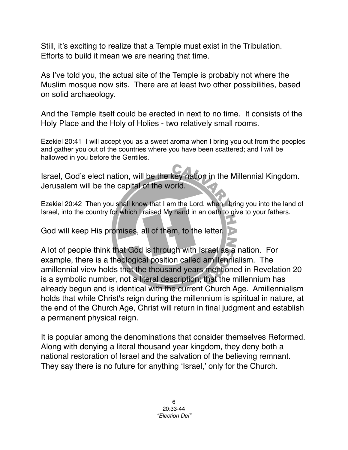Still, it's exciting to realize that a Temple must exist in the Tribulation. Efforts to build it mean we are nearing that time.

As I've told you, the actual site of the Temple is probably not where the Muslim mosque now sits. There are at least two other possibilities, based on solid archaeology.

And the Temple itself could be erected in next to no time. It consists of the Holy Place and the Holy of Holies - two relatively small rooms.

Ezekiel 20:41 I will accept you as a sweet aroma when I bring you out from the peoples and gather you out of the countries where you have been scattered; and I will be hallowed in you before the Gentiles.

Israel, God's elect nation, will be the key nation in the Millennial Kingdom. Jerusalem will be the capital of the world.

Ezekiel 20:42 Then you shall know that I am the Lord, when I bring you into the land of Israel, into the country for which I raised My hand in an oath to give to your fathers.

God will keep His promises, all of them, to the letter.

A lot of people think that God is through with Israel as a nation. For example, there is a theological position called amillennialism. The amillennial view holds that the thousand years mentioned in Revelation 20 is a symbolic number, not a literal description; that the millennium has already begun and is identical with the current Church Age. Amillennialism holds that while Christ's reign during the millennium is spiritual in nature, at the end of the Church Age, Christ will return in final judgment and establish a permanent physical reign.

It is popular among the denominations that consider themselves Reformed. Along with denying a literal thousand year kingdom, they deny both a national restoration of Israel and the salvation of the believing remnant. They say there is no future for anything 'Israel,' only for the Church.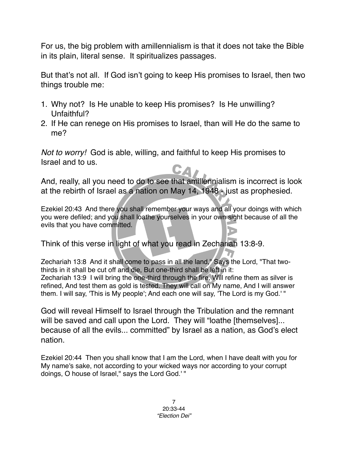For us, the big problem with amillennialism is that it does not take the Bible in its plain, literal sense. It spiritualizes passages.

But that's not all. If God isn't going to keep His promises to Israel, then two things trouble me:

- 1. Why not? Is He unable to keep His promises? Is He unwilling? Unfaithful?
- 2. If He can renege on His promises to Israel, than will He do the same to me?

*Not to worry!* God is able, willing, and faithful to keep His promises to Israel and to us.

And, really, all you need to do to see that amillennialism is incorrect is look at the rebirth of Israel as a nation on May 14, 1948 - just as prophesied.

Ezekiel 20:43 And there you shall remember your ways and all your doings with which you were defiled; and you shall loathe yourselves in your own sight because of all the evils that you have committed.

Think of this verse in light of what you read in Zechariah 13:8-9.

Zechariah 13:8 And it shall come to pass in all the land," Says the Lord, "That twothirds in it shall be cut off and die, But one-third shall be left in it: Zechariah 13:9 I will bring the one-third through the fire, Will refine them as silver is refined, And test them as gold is tested. They will call on My name, And I will answer them. I will say, 'This is My people'; And each one will say, 'The Lord is my God.' "

God will reveal Himself to Israel through the Tribulation and the remnant will be saved and call upon the Lord. They will "loathe [themselves]... because of all the evils... committed" by Israel as a nation, as God's elect nation.

Ezekiel 20:44 Then you shall know that I am the Lord, when I have dealt with you for My name's sake, not according to your wicked ways nor according to your corrupt doings, O house of Israel," says the Lord God.' "